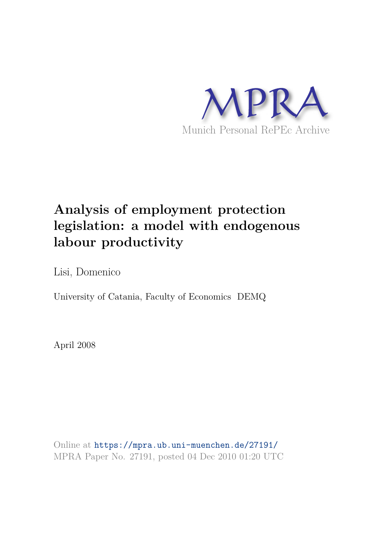

# **Analysis of employment protection legislation: a model with endogenous labour productivity**

Lisi, Domenico

University of Catania, Faculty of Economics DEMQ

April 2008

Online at https://mpra.ub.uni-muenchen.de/27191/ MPRA Paper No. 27191, posted 04 Dec 2010 01:20 UTC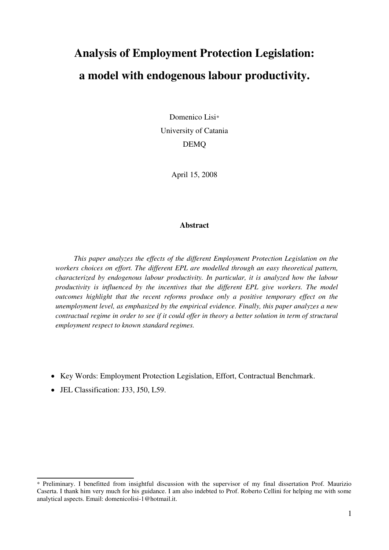# **Analysis of Employment Protection Legislation: a model with endogenous labour productivity.**

Domenico Lisi\* University of Catania DEMQ

April 15, 2008

## **Abstract**

*This paper analyzes the effects of the different Employment Protection Legislation on the workers choices on effort. The different EPL are modelled through an easy theoretical pattern, characterized by endogenous labour productivity. In particular, it is analyzed how the labour productivity is influenced by the incentives that the different EPL give workers. The model outcomes highlight that the recent reforms produce only a positive temporary effect on the unemployment level, as emphasized by the empirical evidence. Finally, this paper analyzes a new contractual regime in order to see if it could offer in theory a better solution in term of structural employment respect to known standard regimes.* 

- Key Words: Employment Protection Legislation, Effort, Contractual Benchmark.
- JEL Classification: J33, J50, L59.

<sup>\*</sup> Preliminary. I benefitted from insightful discussion with the supervisor of my final dissertation Prof. Maurizio Caserta. I thank him very much for his guidance. I am also indebted to Prof. Roberto Cellini for helping me with some analytical aspects. Email: domenicolisi-1@hotmail.it.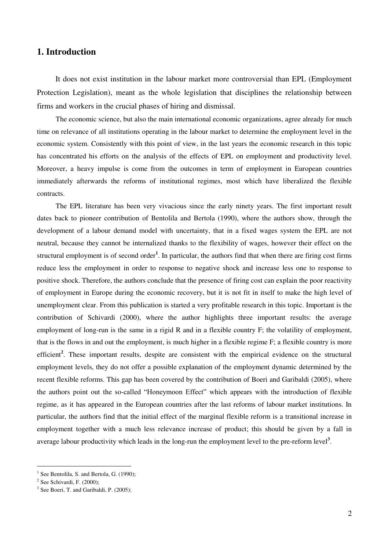# **1. Introduction**

It does not exist institution in the labour market more controversial than EPL (Employment Protection Legislation), meant as the whole legislation that disciplines the relationship between firms and workers in the crucial phases of hiring and dismissal.

The economic science, but also the main international economic organizations, agree already for much time on relevance of all institutions operating in the labour market to determine the employment level in the economic system. Consistently with this point of view, in the last years the economic research in this topic has concentrated his efforts on the analysis of the effects of EPL on employment and productivity level. Moreover, a heavy impulse is come from the outcomes in term of employment in European countries immediately afterwards the reforms of institutional regimes, most which have liberalized the flexible contracts.

The EPL literature has been very vivacious since the early ninety years. The first important result dates back to pioneer contribution of Bentolila and Bertola (1990), where the authors show, through the development of a labour demand model with uncertainty, that in a fixed wages system the EPL are not neutral, because they cannot be internalized thanks to the flexibility of wages, however their effect on the structural employment is of second order<sup>1</sup>. In particular, the authors find that when there are firing cost firms reduce less the employment in order to response to negative shock and increase less one to response to positive shock. Therefore, the authors conclude that the presence of firing cost can explain the poor reactivity of employment in Europe during the economic recovery, but it is not fit in itself to make the high level of unemployment clear. From this publication is started a very profitable research in this topic. Important is the contribution of Schivardi (2000), where the author highlights three important results: the average employment of long-run is the same in a rigid R and in a flexible country F; the volatility of employment, that is the flows in and out the employment, is much higher in a flexible regime F; a flexible country is more efficient<sup>2</sup>. These important results, despite are consistent with the empirical evidence on the structural employment levels, they do not offer a possible explanation of the employment dynamic determined by the recent flexible reforms. This gap has been covered by the contribution of Boeri and Garibaldi (2005), where the authors point out the so-called "Honeymoon Effect" which appears with the introduction of flexible regime, as it has appeared in the European countries after the last reforms of labour market institutions. In particular, the authors find that the initial effect of the marginal flexible reform is a transitional increase in employment together with a much less relevance increase of product; this should be given by a fall in average labour productivity which leads in the long-run the employment level to the pre-reform level<sup>3</sup>.

-

<sup>1</sup> See Bentolila, S. and Bertola, G. (1990);

 $2$  See Schivardi, F. (2000);

<sup>&</sup>lt;sup>3</sup> See Boeri, T. and Garibaldi, P. (2005);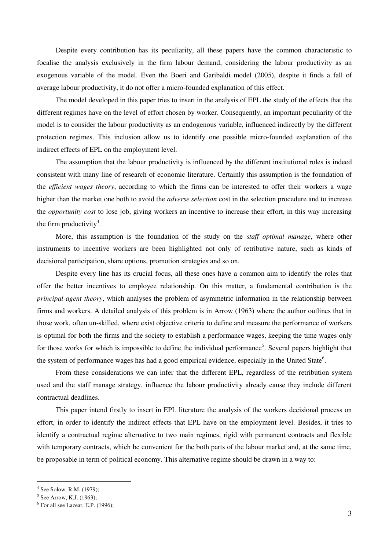Despite every contribution has its peculiarity, all these papers have the common characteristic to focalise the analysis exclusively in the firm labour demand, considering the labour productivity as an exogenous variable of the model. Even the Boeri and Garibaldi model (2005), despite it finds a fall of average labour productivity, it do not offer a micro-founded explanation of this effect.

The model developed in this paper tries to insert in the analysis of EPL the study of the effects that the different regimes have on the level of effort chosen by worker. Consequently, an important peculiarity of the model is to consider the labour productivity as an endogenous variable, influenced indirectly by the different protection regimes. This inclusion allow us to identify one possible micro-founded explanation of the indirect effects of EPL on the employment level.

The assumption that the labour productivity is influenced by the different institutional roles is indeed consistent with many line of research of economic literature. Certainly this assumption is the foundation of the *efficient wages theory*, according to which the firms can be interested to offer their workers a wage higher than the market one both to avoid the *adverse selection* cost in the selection procedure and to increase the *opportunity cost* to lose job, giving workers an incentive to increase their effort, in this way increasing the firm productivity<sup>4</sup>.

More, this assumption is the foundation of the study on the *staff optimal manage*, where other instruments to incentive workers are been highlighted not only of retributive nature, such as kinds of decisional participation, share options, promotion strategies and so on.

Despite every line has its crucial focus, all these ones have a common aim to identify the roles that offer the better incentives to employee relationship. On this matter, a fundamental contribution is the *principal-agent theory*, which analyses the problem of asymmetric information in the relationship between firms and workers. A detailed analysis of this problem is in Arrow (1963) where the author outlines that in those work, often un-skilled, where exist objective criteria to define and measure the performance of workers is optimal for both the firms and the society to establish a performance wages, keeping the time wages only for those works for which is impossible to define the individual performance<sup>5</sup>. Several papers highlight that the system of performance wages has had a good empirical evidence, especially in the United State<sup>6</sup>.

From these considerations we can infer that the different EPL, regardless of the retribution system used and the staff manage strategy, influence the labour productivity already cause they include different contractual deadlines.

This paper intend firstly to insert in EPL literature the analysis of the workers decisional process on effort, in order to identify the indirect effects that EPL have on the employment level. Besides, it tries to identify a contractual regime alternative to two main regimes, rigid with permanent contracts and flexible with temporary contracts, which be convenient for the both parts of the labour market and, at the same time, be proposable in term of political economy. This alternative regime should be drawn in a way to:

<sup>4</sup> See Solow, R.M. (1979);

 $5$  See Arrow, K.J. (1963);

 $<sup>6</sup>$  For all see Lazear, E.P. (1996);</sup>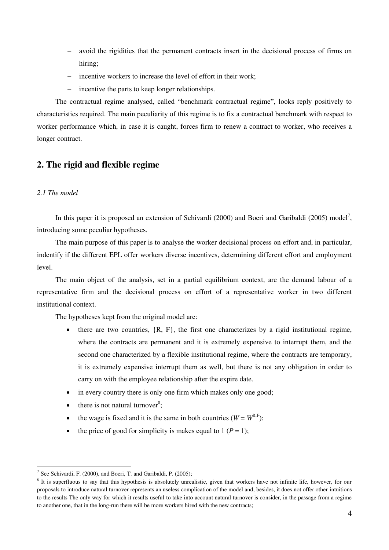- avoid the rigidities that the permanent contracts insert in the decisional process of firms on hiring;
- incentive workers to increase the level of effort in their work;
- incentive the parts to keep longer relationships.

The contractual regime analysed, called "benchmark contractual regime", looks reply positively to characteristics required. The main peculiarity of this regime is to fix a contractual benchmark with respect to worker performance which, in case it is caught, forces firm to renew a contract to worker, who receives a longer contract.

# **2. The rigid and flexible regime**

## *2.1 The model*

-

In this paper it is proposed an extension of Schivardi (2000) and Boeri and Garibaldi (2005) model<sup>7</sup>, introducing some peculiar hypotheses.

The main purpose of this paper is to analyse the worker decisional process on effort and, in particular, indentify if the different EPL offer workers diverse incentives, determining different effort and employment level.

The main object of the analysis, set in a partial equilibrium context, are the demand labour of a representative firm and the decisional process on effort of a representative worker in two different institutional context.

The hypotheses kept from the original model are:

- there are two countries,  $\{R, F\}$ , the first one characterizes by a rigid institutional regime, where the contracts are permanent and it is extremely expensive to interrupt them, and the second one characterized by a flexible institutional regime, where the contracts are temporary, it is extremely expensive interrupt them as well, but there is not any obligation in order to carry on with the employee relationship after the expire date.
- in every country there is only one firm which makes only one good;
- $\bullet$  there is not natural turnover<sup>8</sup>;
- the wage is fixed and it is the same in both countries  $(W = W^{R,F})$ ;
- the price of good for simplicity is makes equal to  $1 (P = 1)$ ;

<sup>&</sup>lt;sup>7</sup> See Schivardi, F. (2000), and Boeri, T. and Garibaldi, P. (2005);

<sup>&</sup>lt;sup>8</sup> It is superfluous to say that this hypothesis is absolutely unrealistic, given that workers have not infinite life, however, for our proposals to introduce natural turnover represents an useless complication of the model and, besides, it does not offer other intuitions to the results The only way for which it results useful to take into account natural turnover is consider, in the passage from a regime to another one, that in the long-run there will be more workers hired with the new contracts;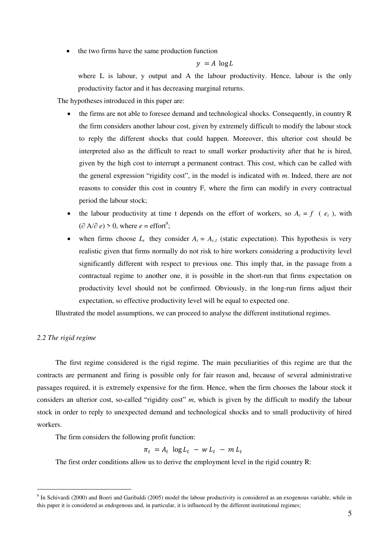the two firms have the same production function

$$
y = A \, \log L
$$

where L is labour, y output and A the labour productivity. Hence, labour is the only productivity factor and it has decreasing marginal returns.

The hypotheses introduced in this paper are:

- the firms are not able to foresee demand and technological shocks. Consequently, in country R the firm considers another labour cost, given by extremely difficult to modify the labour stock to reply the different shocks that could happen. Moreover, this ulterior cost should be interpreted also as the difficult to react to small worker productivity after that he is hired, given by the high cost to interrupt a permanent contract. This cost, which can be called with the general expression "rigidity cost", in the model is indicated with *m*. Indeed, there are not reasons to consider this cost in country F, where the firm can modify in every contractual period the labour stock;
- the labour productivity at time t depends on the effort of workers, so  $A_t = f$  ( $e_t$ ), with  $(\partial A/\partial e) > 0$ , where  $e = \text{effort}^9$ ;
- when firms choose  $L_t$  they consider  $A_t = A_{t-1}$  (static expectation). This hypothesis is very realistic given that firms normally do not risk to hire workers considering a productivity level significantly different with respect to previous one. This imply that, in the passage from a contractual regime to another one, it is possible in the short-run that firms expectation on productivity level should not be confirmed. Obviously, in the long-run firms adjust their expectation, so effective productivity level will be equal to expected one.

Illustrated the model assumptions, we can proceed to analyse the different institutional regimes.

## *2.2 The rigid regime*

<u>.</u>

The first regime considered is the rigid regime. The main peculiarities of this regime are that the contracts are permanent and firing is possible only for fair reason and, because of several administrative passages required, it is extremely expensive for the firm. Hence, when the firm chooses the labour stock it considers an ulterior cost, so-called "rigidity cost" *m*, which is given by the difficult to modify the labour stock in order to reply to unexpected demand and technological shocks and to small productivity of hired workers.

The firm considers the following profit function:

 $\pi_t = A_t \log L_t - w L_t - m L_t$ 

The first order conditions allow us to derive the employment level in the rigid country R:

<sup>&</sup>lt;sup>9</sup> In Schivardi (2000) and Boeri and Garibaldi (2005) model the labour productivity is considered as an exogenous variable, while in this paper it is considered as endogenous and, in particular, it is influenced by the different institutional regimes;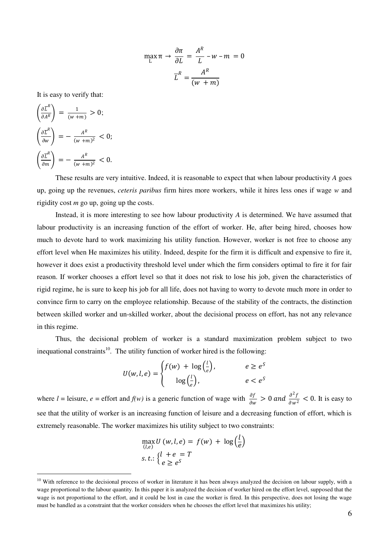$$
\max_{L} \pi \to \frac{\partial \pi}{\partial L} = \frac{A^{R}}{L} - w - m = 0
$$

$$
\overline{L}^{R} = \frac{A^{R}}{(w + m)}
$$

It is easy to verify that:

 $\mathbf{v} = \mathbf{v}$ 

$$
\begin{aligned}\n\left(\frac{\partial \overline{L}^R}{\partial A^R}\right) &= \frac{1}{(w+m)} > 0; \\
\left(\frac{\partial \overline{L}^R}{\partial w}\right) &= -\frac{A^R}{(w+m)^2} < 0; \\
\left(\frac{\partial \overline{L}^R}{\partial m}\right) &= -\frac{A^R}{(w+m)^2} < 0.\n\end{aligned}
$$

<u>.</u>

These results are very intuitive. Indeed, it is reasonable to expect that when labour productivity *A* goes up, going up the revenues, *ceteris paribus* firm hires more workers, while it hires less ones if wage *w* and rigidity cost *m* go up, going up the costs.

Instead, it is more interesting to see how labour productivity *A* is determined. We have assumed that labour productivity is an increasing function of the effort of worker. He, after being hired, chooses how much to devote hard to work maximizing his utility function. However, worker is not free to choose any effort level when He maximizes his utility. Indeed, despite for the firm it is difficult and expensive to fire it, however it does exist a productivity threshold level under which the firm considers optimal to fire it for fair reason. If worker chooses a effort level so that it does not risk to lose his job, given the characteristics of rigid regime, he is sure to keep his job for all life, does not having to worry to devote much more in order to convince firm to carry on the employee relationship. Because of the stability of the contracts, the distinction between skilled worker and un-skilled worker, about the decisional process on effort, has not any relevance in this regime.

Thus, the decisional problem of worker is a standard maximization problem subject to two inequational constraints<sup>10</sup>. The utility function of worker hired is the following:

$$
U(w, l, e) = \begin{cases} f(w) + \log\left(\frac{l}{e}\right), & e \ge e^S \\ \log\left(\frac{l}{e}\right), & e < e^S \end{cases}
$$

where  $l =$  leisure,  $e =$  effort and  $f(w)$  is a generic function of wage with  $\frac{\partial f}{\partial w} > 0$  and  $\frac{\partial^2 f}{\partial w^2}$  $\frac{\partial^2 J}{\partial w^2}$  < 0. It is easy to see that the utility of worker is an increasing function of leisure and a decreasing function of effort, which is extremely reasonable. The worker maximizes his utility subject to two constraints:

$$
\max_{(l,e)} U(w, l, e) = f(w) + \log \left(\frac{l}{e}\right)
$$
  
s. t.: 
$$
\begin{cases} l + e = T \\ e \ge e^S \end{cases}
$$

 $10$  With reference to the decisional process of worker in literature it has been always analyzed the decision on labour supply, with a wage proportional to the labour quantity. In this paper it is analyzed the decision of worker hired on the effort level, supposed that the wage is not proportional to the effort, and it could be lost in case the worker is fired. In this perspective, does not losing the wage must be handled as a constraint that the worker considers when he chooses the effort level that maximizes his utility;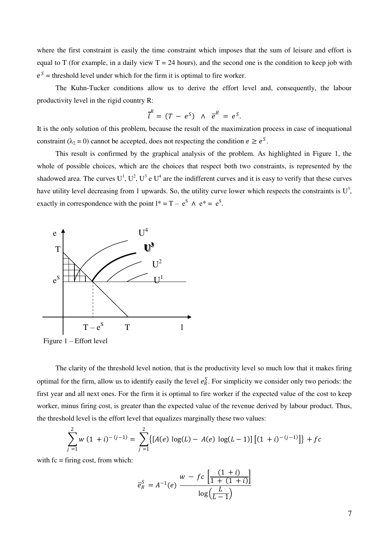where the first constraint is easily the time constraint which imposes that the sum of leisure and effort is equal to T (for example, in a daily view  $T = 24$  hours), and the second one is the condition to keep job with  $e^s$  = threshold level under which for the firm it is optimal to fire worker.

The Kuhn-Tucker conditions allow us to derive the effort level and, consequently, the labour productivity level in the rigid country R:

$$
\overline{l}^R = (T - e^S) \wedge \overline{e}^R = e^S
$$

.

It is the only solution of this problem, because the result of the maximization process in case of inequational constraint ( $\lambda_2 = 0$ ) cannot be accepted, does not respecting the condition  $e \ge e^S$ .

This result is confirmed by the graphical analysis of the problem. As highlighted in Figure 1, the whole of possible choices, which are the choices that respect both two constraints, is represented by the shadowed area. The curves  $U^1$ ,  $U^2$ ,  $U^3$  e  $U^4$  are the indifferent curves and it is easy to verify that these curves have utility level decreasing from 1 upwards. So, the utility curve lower which respects the constraints is  $U^3$ , exactly in correspondence with the point  $l^* = T - e^S \wedge e^* = e^S$ .



Figure 1 – Effort level

The clarity of the threshold level notion, that is the productivity level so much low that it makes firing optimal for the firm, allow us to identify easily the level  $e_R^S$ . For simplicity we consider only two periods: the first year and all next ones. For the firm it is optimal to fire worker if the expected value of the cost to keep worker, minus firing cost, is greater than the expected value of the revenue derived by labour product. Thus, the threshold level is the effort level that equalizes marginally these two values:

$$
\sum_{j=1}^{2} w (1 + i)^{- (j-1)} = \sum_{j=1}^{2} \{ [A(e) \log(L) - A(e) \log(L-1)] \} [(1 + i)^{- (j-1)}] \} + fc
$$

with  $fc =$  firing cost, from which:

$$
\overline{e}_R^S = A^{-1}(e) \frac{w - fc\left[\frac{(1+i)}{1 + (1+i)}\right]}{\log\left(\frac{L}{L-1}\right)}
$$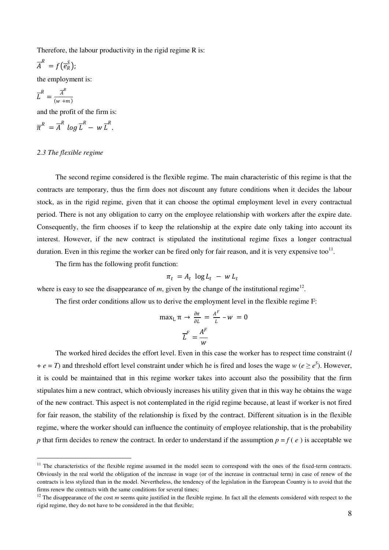Therefore, the labour productivity in the rigid regime R is:

$$
\overline{A}^R = f(\overline{e}_R^S);
$$

the employment is:

$$
\overline{L}^R = \frac{\overline{A}^R}{(w+m)}
$$

<u>.</u>

and the profit of the firm is:

$$
\overline{\pi}^R = \overline{A}^R \log \overline{L}^R - w \overline{L}^R.
$$

### *2.3 The flexible regime*

The second regime considered is the flexible regime. The main characteristic of this regime is that the contracts are temporary, thus the firm does not discount any future conditions when it decides the labour stock, as in the rigid regime, given that it can choose the optimal employment level in every contractual period. There is not any obligation to carry on the employee relationship with workers after the expire date. Consequently, the firm chooses if to keep the relationship at the expire date only taking into account its interest. However, if the new contract is stipulated the institutional regime fixes a longer contractual duration. Even in this regime the worker can be fired only for fair reason, and it is very expensive too<sup>11</sup>.

The firm has the following profit function:

$$
\pi_t = A_t \, \log L_t - w \, L_t
$$

where is easy to see the disappearance of  $m$ , given by the change of the institutional regime<sup>12</sup>.

The first order conditions allow us to derive the employment level in the flexible regime F:

$$
\max_{L} \pi \to \frac{\partial \pi}{\partial L} = \frac{A^{F}}{L} - w = 0
$$

$$
\overline{L}^{F} = \frac{A^{F}}{w}
$$

The worked hired decides the effort level. Even in this case the worker has to respect time constraint (*l*  $+ e = T$ ) and threshold effort level constraint under which he is fired and loses the wage *w* ( $e \ge e^{S}$ ). However, it is could be maintained that in this regime worker takes into account also the possibility that the firm stipulates him a new contract, which obviously increases his utility given that in this way he obtains the wage of the new contract. This aspect is not contemplated in the rigid regime because, at least if worker is not fired for fair reason, the stability of the relationship is fixed by the contract. Different situation is in the flexible regime, where the worker should can influence the continuity of employee relationship, that is the probability *p* that firm decides to renew the contract. In order to understand if the assumption  $p = f(e)$  is acceptable we

 $11$  The characteristics of the flexible regime assumed in the model seem to correspond with the ones of the fixed-term contracts. Obviously in the real world the obligation of the increase in wage (or of the increase in contractual term) in case of renew of the contracts is less stylized than in the model. Nevertheless, the tendency of the legislation in the European Country is to avoid that the firms renew the contracts with the same conditions for several times;

 $12$  The disappearance of the cost *m* seems quite justified in the flexible regime. In fact all the elements considered with respect to the rigid regime, they do not have to be considered in the that flexible;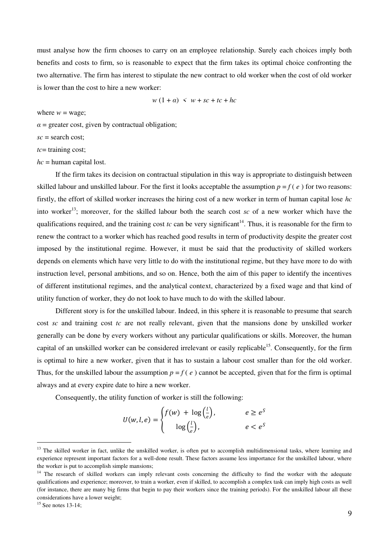must analyse how the firm chooses to carry on an employee relationship. Surely each choices imply both benefits and costs to firm, so is reasonable to expect that the firm takes its optimal choice confronting the two alternative. The firm has interest to stipulate the new contract to old worker when the cost of old worker is lower than the cost to hire a new worker:

$$
w(1+\alpha) < w + sc + tc + hc
$$

where  $w = \text{wave}$ ;

 $\alpha$  = greater cost, given by contractual obligation;

*sc* = search cost;

*tc*= training cost;

*hc* = human capital lost.

If the firm takes its decision on contractual stipulation in this way is appropriate to distinguish between skilled labour and unskilled labour. For the first it looks acceptable the assumption  $p = f(e)$  for two reasons: firstly, the effort of skilled worker increases the hiring cost of a new worker in term of human capital lose *hc* into worker<sup>13</sup>; moreover, for the skilled labour both the search cost *sc* of a new worker which have the qualifications required, and the training cost  $tc$  can be very significant<sup>14</sup>. Thus, it is reasonable for the firm to renew the contract to a worker which has reached good results in term of productivity despite the greater cost imposed by the institutional regime. However, it must be said that the productivity of skilled workers depends on elements which have very little to do with the institutional regime, but they have more to do with instruction level, personal ambitions, and so on. Hence, both the aim of this paper to identify the incentives of different institutional regimes, and the analytical context, characterized by a fixed wage and that kind of utility function of worker, they do not look to have much to do with the skilled labour.

Different story is for the unskilled labour. Indeed, in this sphere it is reasonable to presume that search cost *sc* and training cost *tc* are not really relevant, given that the mansions done by unskilled worker generally can be done by every workers without any particular qualifications or skills. Moreover, the human capital of an unskilled worker can be considered irrelevant or easily replicable<sup>15</sup>. Consequently, for the firm is optimal to hire a new worker, given that it has to sustain a labour cost smaller than for the old worker. Thus, for the unskilled labour the assumption  $p = f(e)$  cannot be accepted, given that for the firm is optimal always and at every expire date to hire a new worker.

Consequently, the utility function of worker is still the following:

$$
U(w, l, e) = \begin{cases} f(w) + \log(\frac{l}{e}), & e \ge e^S \\ \log(\frac{l}{e}), & e < e^S \end{cases}
$$

<sup>&</sup>lt;sup>13</sup> The skilled worker in fact, unlike the unskilled worker, is often put to accomplish multidimensional tasks, where learning and experience represent important factors for a well-done result. These factors assume less importance for the unskilled labour, where the worker is put to accomplish simple mansions;

<sup>&</sup>lt;sup>14</sup> The research of skilled workers can imply relevant costs concerning the difficulty to find the worker with the adequate qualifications and experience; moreover, to train a worker, even if skilled, to accomplish a complex task can imply high costs as well (for instance, there are many big firms that begin to pay their workers since the training periods). For the unskilled labour all these considerations have a lower weight;

 $15$  See notes 13-14;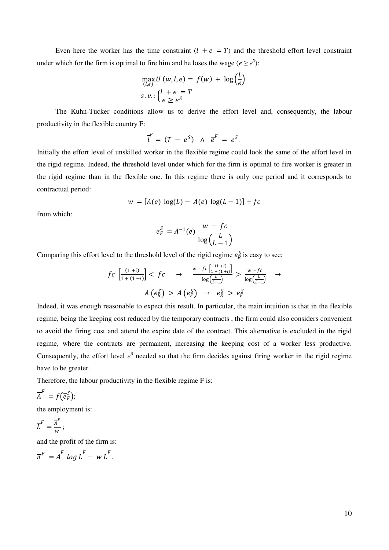Even here the worker has the time constraint  $(l + e = T)$  and the threshold effort level constraint under which for the firm is optimal to fire him and he loses the wage ( $e \geq e^{S}$ ):

$$
\max_{(l,e)} U(w, l, e) = f(w) + \log \left(\frac{l}{e}\right)
$$
  
s. v.: 
$$
\begin{cases} l + e = T \\ e \ge e^S \end{cases}
$$

The Kuhn-Tucker conditions allow us to derive the effort level and, consequently, the labour productivity in the flexible country F:

$$
\overline{l}^F = (T - e^S) \wedge \overline{e}^F = e^S.
$$

Initially the effort level of unskilled worker in the flexible regime could look the same of the effort level in the rigid regime. Indeed, the threshold level under which for the firm is optimal to fire worker is greater in the rigid regime than in the flexible one. In this regime there is only one period and it corresponds to contractual period:

$$
w = [A(e) \log(L) - A(e) \log(L - 1)] + fc
$$

from which:

$$
\overline{e}_F^S = A^{-1}(e) \frac{w - fc}{\log(\frac{L}{L-1})}
$$

Comparing this effort level to the threshold level of the rigid regime  $e_R^S$  is easy to see:

$$
fc\left[\frac{(1+i)}{1+(1+i)}\right] < fc \rightarrow \frac{w - fc\left[\frac{(1+i)}{1+(1+i)}\right]}{\log\left(\frac{L}{L-1}\right)} > \frac{w - fc}{\log\left(\frac{L}{L-1}\right)} \rightarrow
$$
\n
$$
A\left(e_R^S\right) > A\left(e_F^S\right) \rightarrow e_R^S > e_F^S
$$

Indeed, it was enough reasonable to expect this result. In particular, the main intuition is that in the flexible regime, being the keeping cost reduced by the temporary contracts , the firm could also considers convenient to avoid the firing cost and attend the expire date of the contract. This alternative is excluded in the rigid regime, where the contracts are permanent, increasing the keeping cost of a worker less productive. Consequently, the effort level  $e^S$  needed so that the firm decides against firing worker in the rigid regime have to be greater.

Therefore, the labour productivity in the flexible regime F is:

$$
\overline{A}^F = f(\overline{e}_F^S);
$$

the employment is:

$$
\overline{L}^F = \frac{\overline{A}^F}{w} ;
$$

and the profit of the firm is:

 $\overline{\pi}^F = \overline{A}^F log \overline{L}^F - w \overline{L}^F.$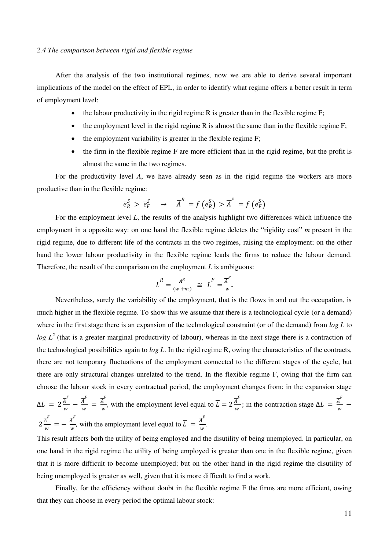After the analysis of the two institutional regimes, now we are able to derive several important implications of the model on the effect of EPL, in order to identify what regime offers a better result in term of employment level:

- the labour productivity in the rigid regime R is greater than in the flexible regime F;
- $\bullet$  the employment level in the rigid regime R is almost the same than in the flexible regime F;
- $\bullet$  the employment variability is greater in the flexible regime  $F$ ;
- the firm in the flexible regime F are more efficient than in the rigid regime, but the profit is almost the same in the two regimes.

For the productivity level *A*, we have already seen as in the rigid regime the workers are more productive than in the flexible regime:

$$
\overline{e}_R^S > \overline{e}_F^S \rightarrow \overline{A}^R = f\left(\overline{e}_R^S\right) > \overline{A}^F = f\left(\overline{e}_F^S\right)
$$

For the employment level *L*, the results of the analysis highlight two differences which influence the employment in a opposite way: on one hand the flexible regime deletes the "rigidity cost" *m* present in the rigid regime, due to different life of the contracts in the two regimes, raising the employment; on the other hand the lower labour productivity in the flexible regime leads the firms to reduce the labour demand. Therefore, the result of the comparison on the employment *L* is ambiguous:

$$
\overline{L}^R = \frac{A^R}{(w+m)} \cong \overline{L}^F = \frac{\overline{A}^F}{w}.
$$

Nevertheless, surely the variability of the employment, that is the flows in and out the occupation, is much higher in the flexible regime. To show this we assume that there is a technological cycle (or a demand) where in the first stage there is an expansion of the technological constraint (or of the demand) from *log L* to  $log L<sup>2</sup>$  (that is a greater marginal productivity of labour), whereas in the next stage there is a contraction of the technological possibilities again to *log L*. In the rigid regime R, owing the characteristics of the contracts, there are not temporary fluctuations of the employment connected to the different stages of the cycle, but there are only structural changes unrelated to the trend. In the flexible regime F, owing that the firm can choose the labour stock in every contractual period, the employment changes from: in the expansion stage  $\Delta L = 2 \frac{\overline{A}^F}{w}$  $\frac{\overline{A}^F}{w} - \frac{\overline{A}^F}{w}$  $\frac{\overline{A}^F}{w}=\frac{\overline{A}^F}{w}$  $\frac{\overline{A}^F}{w}$ , with the employment level equal to  $\overline{L} = 2 \frac{\overline{A}^F}{w}$  $\frac{\overline{A}^F}{w}$ ; in the contraction stage  $\Delta L = \frac{\overline{A}^F}{w}$  $\frac{1}{w}$  –  $2\frac{\overline{A}^F}{\cdots}$  $\frac{\overline{A}^F}{w} = -\frac{\overline{A}^F}{w}$  $\frac{\overline{A}^F}{w}$ , with the employment level equal to  $\overline{L} = \frac{\overline{A}^F}{w}$  $\frac{1}{w}$ .

This result affects both the utility of being employed and the disutility of being unemployed. In particular, on one hand in the rigid regime the utility of being employed is greater than one in the flexible regime, given that it is more difficult to become unemployed; but on the other hand in the rigid regime the disutility of being unemployed is greater as well, given that it is more difficult to find a work.

Finally, for the efficiency without doubt in the flexible regime F the firms are more efficient, owing that they can choose in every period the optimal labour stock: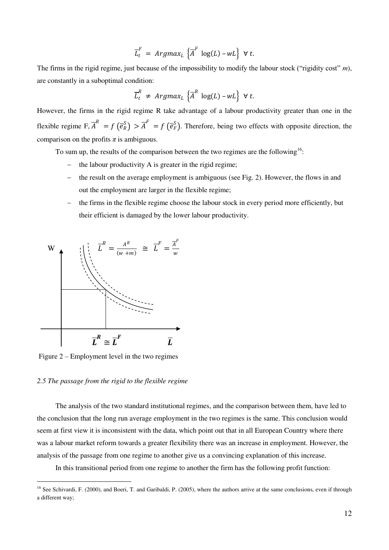$$
\overline{L}_t^F = Argmax_L \left\{ \overline{A}^F \log(L) - wL \right\} \ \forall \ t.
$$

The firms in the rigid regime, just because of the impossibility to modify the labour stock ("rigidity cost" *m*), are constantly in a suboptimal condition:

$$
\overline{L}_t^R \neq \text{Argmax}_L \left\{ \overline{A}^R \log(L) - wL \right\} \ \forall \ t.
$$

However, the firms in the rigid regime R take advantage of a labour productivity greater than one in the flexible regime  $F, \overline{A}^R = f(\overline{e}_R^S) > \overline{A}^F = f(\overline{e}_F^S)$ . Therefore, being two effects with opposite direction, the comparison on the profits  $\pi$  is ambiguous.

To sum up, the results of the comparison between the two regimes are the following<sup>16</sup>:

- the labour productivity A is greater in the rigid regime;
- the result on the average employment is ambiguous (see Fig. 2). However, the flows in and out the employment are larger in the flexible regime;
- $-$  the firms in the flexible regime choose the labour stock in every period more efficiently, but their efficient is damaged by the lower labour productivity.



Figure 2 – Employment level in the two regimes

## *2.5 The passage from the rigid to the flexible regime*

<u>.</u>

The analysis of the two standard institutional regimes, and the comparison between them, have led to the conclusion that the long run average employment in the two regimes is the same. This conclusion would seem at first view it is inconsistent with the data, which point out that in all European Country where there was a labour market reform towards a greater flexibility there was an increase in employment. However, the analysis of the passage from one regime to another give us a convincing explanation of this increase.

In this transitional period from one regime to another the firm has the following profit function:

<sup>&</sup>lt;sup>16</sup> See Schivardi, F. (2000), and Boeri, T. and Garibaldi, P. (2005), where the authors arrive at the same conclusions, even if through a different way;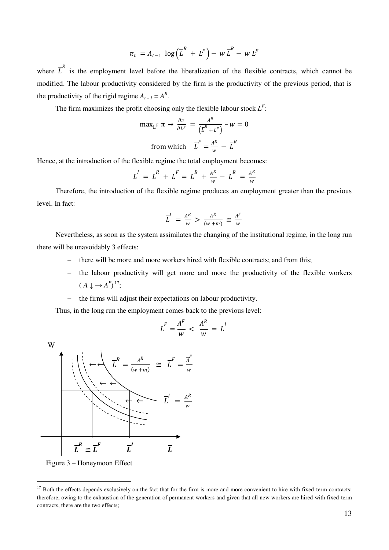$$
\pi_t = A_{t-1} \log \left( \overline{L}^R + L^F \right) - w \, \overline{L}^R - w \, L^F
$$

where  $\overline{L}^R$  is the employment level before the liberalization of the flexible contracts, which cannot be modified. The labour productivity considered by the firm is the productivity of the previous period, that is the productivity of the rigid regime  $A_{t-1} = A^R$ .

The firm maximizes the profit choosing only the flexible labour stock  $L^F$ :

$$
\max_{L^{F}} \pi \to \frac{\partial \pi}{\partial L^{F}} = \frac{A^{R}}{\left(\overline{L}^{R} + L^{F}\right)} - w = 0
$$
  
from which 
$$
\overline{L}^{F} = \frac{A^{R}}{w} - \overline{L}^{R}
$$

Hence, at the introduction of the flexible regime the total employment becomes:

$$
\overline{L}^I = \overline{L}^R + \overline{L}^F = \overline{L}^R + \frac{A^R}{w} - \overline{L}^R = \frac{A^R}{w}
$$

Therefore, the introduction of the flexible regime produces an employment greater than the previous level. In fact:

$$
\overline{L}^I = \frac{A^R}{w} > \frac{A^R}{(w+m)} \cong \frac{A^F}{w}
$$

Nevertheless, as soon as the system assimilates the changing of the institutional regime, in the long run there will be unavoidably 3 effects:

- there will be more and more workers hired with flexible contracts; and from this;
- the labour productivity will get more and more the productivity of the flexible workers  $(A \downarrow \rightarrow A^F)^{17}$ ;
- $\theta$  the firms will adjust their expectations on labour productivity.

Thus, in the long run the employment comes back to the previous level:

$$
\overline{L}^F = \frac{A^F}{w} < \frac{A^R}{w} = \overline{L}^I
$$

W



Figure 3 – Honeymoon Effect

<sup>&</sup>lt;sup>17</sup> Both the effects depends exclusively on the fact that for the firm is more and more convenient to hire with fixed-term contracts; therefore, owing to the exhaustion of the generation of permanent workers and given that all new workers are hired with fixed-term contracts, there are the two effects;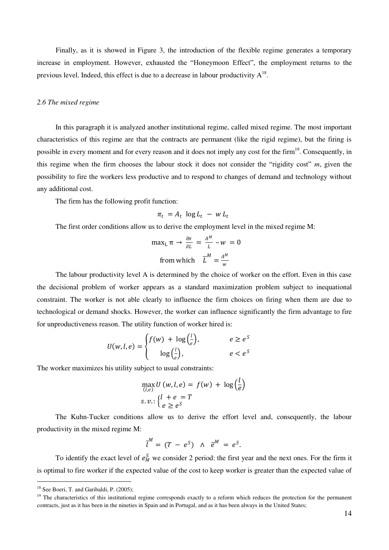Finally, as it is showed in Figure 3, the introduction of the flexible regime generates a temporary increase in employment. However, exhausted the "Honeymoon Effect", the employment returns to the previous level. Indeed, this effect is due to a decrease in labour productivity  $A^{18}$ .

#### *2.6 The mixed regime*

In this paragraph it is analyzed another institutional regime, called mixed regime. The most important characteristics of this regime are that the contracts are permanent (like the rigid regime), but the firing is possible in every moment and for every reason and it does not imply any cost for the firm<sup>19</sup>. Consequently, in this regime when the firm chooses the labour stock it does not consider the "rigidity cost" *m*, given the possibility to fire the workers less productive and to respond to changes of demand and technology without any additional cost.

The firm has the following profit function:

$$
\pi_t = A_t \log L_t - w L_t
$$

The first order conditions allow us to derive the employment level in the mixed regime M:

$$
\max_{L} \pi \to \frac{\partial \pi}{\partial L} = \frac{A^M}{L} - w = 0
$$
  
from which 
$$
\overline{L}^M = \frac{A^M}{w}
$$

The labour productivity level A is determined by the choice of worker on the effort. Even in this case the decisional problem of worker appears as a standard maximization problem subject to inequational constraint. The worker is not able clearly to influence the firm choices on firing when them are due to technological or demand shocks. However, the worker can influence significantly the firm advantage to fire for unproductiveness reason. The utility function of worker hired is:

$$
U(w, l, e) = \begin{cases} f(w) + \log(\frac{l}{e}), & e \ge e^S \\ \log(\frac{l}{e}), & e < e^S \end{cases}
$$

The worker maximizes his utility subject to usual constraints:

$$
\max_{(l,e)} U(w, l, e) = f(w) + \log \left(\frac{l}{e}\right)
$$
  
s. v.: 
$$
\begin{cases} l + e = T \\ e \ge e^S \end{cases}
$$

The Kuhn-Tucker conditions allow us to derive the effort level and, consequently, the labour productivity in the mixed regime M:

$$
\overline{l}^M = (T - e^S) \wedge \overline{e}^M = e^S.
$$

To identify the exact level of  $e_M^S$  we consider 2 period: the first year and the next ones. For the firm it is optimal to fire worker if the expected value of the cost to keep worker is greater than the expected value of

<sup>&</sup>lt;sup>18</sup> See Boeri, T. and Garibaldi, P. (2005);

 $19$  The characteristics of this institutional regime corresponds exactly to a reform which reduces the protection for the permanent contracts, just as it has been in the nineties in Spain and in Portugal, and as it has been always in the United States;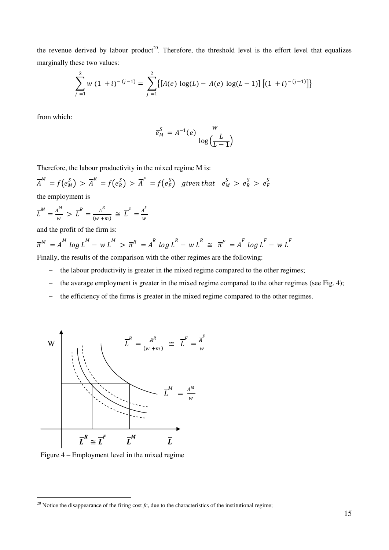the revenue derived by labour product<sup>20</sup>. Therefore, the threshold level is the effort level that equalizes marginally these two values:

$$
\sum_{j=1}^{2} w (1 + i)^{- (j-1)} = \sum_{j=1}^{2} \{ [A(e) \log(L) - A(e) \log(L-1)] [ (1 + i)^{- (j-1)} ] \}
$$

from which:

$$
\overline{e}_M^S = A^{-1}(e) \frac{w}{\log\left(\frac{L}{L-1}\right)}
$$

Therefore, the labour productivity in the mixed regime M is:

$$
\overline{A}^M = f(\overline{e}_M^S) > \overline{A}^R = f(\overline{e}_R^S) > \overline{A}^F = f(\overline{e}_F^S) \text{ given that } \overline{e}_M^S > \overline{e}_R^S > \overline{e}_F^S
$$

the employment is

$$
\overline{L}^M = \frac{\overline{A}^M}{w} > \overline{L}^R = \frac{\overline{A}^R}{(w+m)} \cong \overline{L}^F = \frac{\overline{A}^F}{w}
$$

and the profit of the firm is:

$$
\overline{\pi}^M = \overline{A}^M \log \overline{L}^M - w \overline{L}^M > \overline{\pi}^R = \overline{A}^R \log \overline{L}^R - w \overline{L}^R \cong \overline{\pi}^F = \overline{A}^F \log \overline{L}^F - w \overline{L}^F
$$

Finally, the results of the comparison with the other regimes are the following:

- the labour productivity is greater in the mixed regime compared to the other regimes;
- the average employment is greater in the mixed regime compared to the other regimes (see Fig. 4);
- the efficiency of the firms is greater in the mixed regime compared to the other regimes.



Figure 4 – Employment level in the mixed regime

<sup>&</sup>lt;sup>20</sup> Notice the disappearance of the firing cost  $fc$ , due to the characteristics of the institutional regime;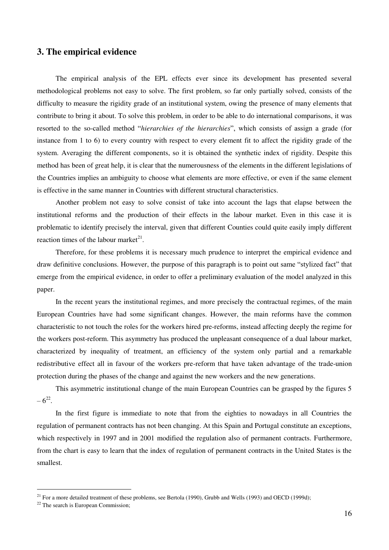## **3. The empirical evidence**

The empirical analysis of the EPL effects ever since its development has presented several methodological problems not easy to solve. The first problem, so far only partially solved, consists of the difficulty to measure the rigidity grade of an institutional system, owing the presence of many elements that contribute to bring it about. To solve this problem, in order to be able to do international comparisons, it was resorted to the so-called method "*hierarchies of the hierarchies*", which consists of assign a grade (for instance from 1 to 6) to every country with respect to every element fit to affect the rigidity grade of the system. Averaging the different components, so it is obtained the synthetic index of rigidity. Despite this method has been of great help, it is clear that the numerousness of the elements in the different legislations of the Countries implies an ambiguity to choose what elements are more effective, or even if the same element is effective in the same manner in Countries with different structural characteristics.

Another problem not easy to solve consist of take into account the lags that elapse between the institutional reforms and the production of their effects in the labour market. Even in this case it is problematic to identify precisely the interval, given that different Counties could quite easily imply different reaction times of the labour market $2<sup>1</sup>$ .

Therefore, for these problems it is necessary much prudence to interpret the empirical evidence and draw definitive conclusions. However, the purpose of this paragraph is to point out same "stylized fact" that emerge from the empirical evidence, in order to offer a preliminary evaluation of the model analyzed in this paper.

In the recent years the institutional regimes, and more precisely the contractual regimes, of the main European Countries have had some significant changes. However, the main reforms have the common characteristic to not touch the roles for the workers hired pre-reforms, instead affecting deeply the regime for the workers post-reform. This asymmetry has produced the unpleasant consequence of a dual labour market, characterized by inequality of treatment, an efficiency of the system only partial and a remarkable redistributive effect all in favour of the workers pre-reform that have taken advantage of the trade-union protection during the phases of the change and against the new workers and the new generations.

This asymmetric institutional change of the main European Countries can be grasped by the figures 5  $-6^{22}$ .

In the first figure is immediate to note that from the eighties to nowadays in all Countries the regulation of permanent contracts has not been changing. At this Spain and Portugal constitute an exceptions, which respectively in 1997 and in 2001 modified the regulation also of permanent contracts. Furthermore, from the chart is easy to learn that the index of regulation of permanent contracts in the United States is the smallest.

 $21$  For a more detailed treatment of these problems, see Bertola (1990), Grubb and Wells (1993) and OECD (1999d);

<sup>&</sup>lt;sup>22</sup> The search is European Commission;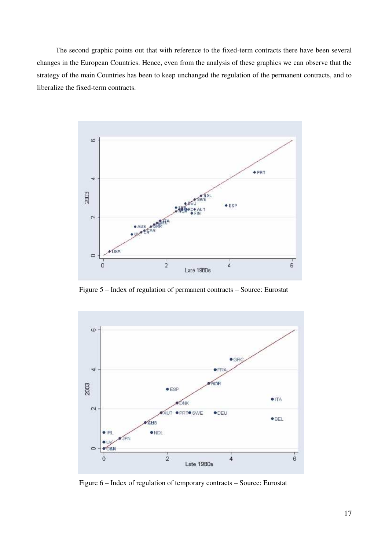The second graphic points out that with reference to the fixed-term contracts there have been several changes in the European Countries. Hence, even from the analysis of these graphics we can observe that the strategy of the main Countries has been to keep unchanged the regulation of the permanent contracts, and to liberalize the fixed-term contracts.



Figure 5 – Index of regulation of permanent contracts – Source: Eurostat



Figure 6 – Index of regulation of temporary contracts – Source: Eurostat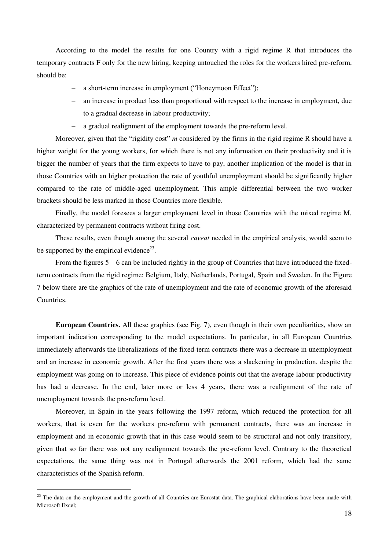According to the model the results for one Country with a rigid regime R that introduces the temporary contracts F only for the new hiring, keeping untouched the roles for the workers hired pre-reform, should be:

- a short-term increase in employment ("Honeymoon Effect");
- an increase in product less than proportional with respect to the increase in employment, due to a gradual decrease in labour productivity;
- a gradual realignment of the employment towards the pre-reform level.

Moreover, given that the "rigidity cost" *m* considered by the firms in the rigid regime R should have a higher weight for the young workers, for which there is not any information on their productivity and it is bigger the number of years that the firm expects to have to pay, another implication of the model is that in those Countries with an higher protection the rate of youthful unemployment should be significantly higher compared to the rate of middle-aged unemployment. This ample differential between the two worker brackets should be less marked in those Countries more flexible.

Finally, the model foresees a larger employment level in those Countries with the mixed regime M, characterized by permanent contracts without firing cost.

These results, even though among the several *caveat* needed in the empirical analysis, would seem to be supported by the empirical evidence<sup>23</sup>.

From the figures  $5 - 6$  can be included rightly in the group of Countries that have introduced the fixedterm contracts from the rigid regime: Belgium, Italy, Netherlands, Portugal, Spain and Sweden. In the Figure 7 below there are the graphics of the rate of unemployment and the rate of economic growth of the aforesaid Countries.

**European Countries.** All these graphics (see Fig. 7), even though in their own peculiarities, show an important indication corresponding to the model expectations. In particular, in all European Countries immediately afterwards the liberalizations of the fixed-term contracts there was a decrease in unemployment and an increase in economic growth. After the first years there was a slackening in production, despite the employment was going on to increase. This piece of evidence points out that the average labour productivity has had a decrease. In the end, later more or less 4 years, there was a realignment of the rate of unemployment towards the pre-reform level.

Moreover, in Spain in the years following the 1997 reform, which reduced the protection for all workers, that is even for the workers pre-reform with permanent contracts, there was an increase in employment and in economic growth that in this case would seem to be structural and not only transitory, given that so far there was not any realignment towards the pre-reform level. Contrary to the theoretical expectations, the same thing was not in Portugal afterwards the 2001 reform, which had the same characteristics of the Spanish reform.

<sup>&</sup>lt;sup>23</sup> The data on the employment and the growth of all Countries are Eurostat data. The graphical elaborations have been made with Microsoft Excel;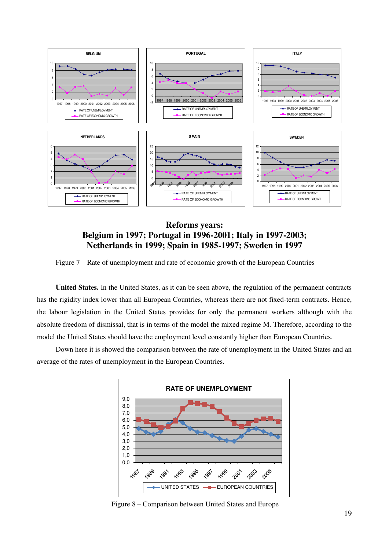

**Reforms years: Belgium in 1997; Portugal in 1996-2001; Italy in 1997-2003; Netherlands in 1999; Spain in 1985-1997; Sweden in 1997** 

Figure 7 – Rate of unemployment and rate of economic growth of the European Countries

**United States.** In the United States, as it can be seen above, the regulation of the permanent contracts has the rigidity index lower than all European Countries, whereas there are not fixed-term contracts. Hence, the labour legislation in the United States provides for only the permanent workers although with the absolute freedom of dismissal, that is in terms of the model the mixed regime M. Therefore, according to the model the United States should have the employment level constantly higher than European Countries.

Down here it is showed the comparison between the rate of unemployment in the United States and an average of the rates of unemployment in the European Countries.



Figure 8 – Comparison between United States and Europe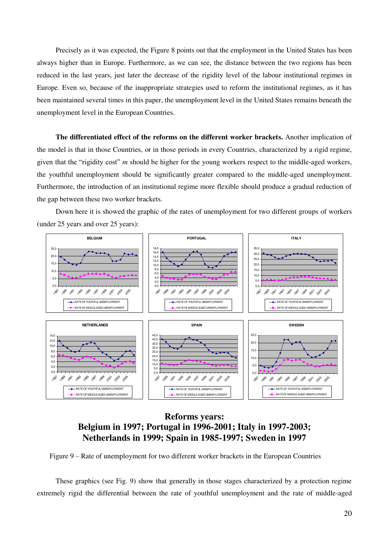Precisely as it was expected, the Figure 8 points out that the employment in the United States has been always higher than in Europe. Furthermore, as we can see, the distance between the two regions has been reduced in the last years, just later the decrease of the rigidity level of the labour institutional regimes in Europe. Even so, because of the inappropriate strategies used to reform the institutional regimes, as it has been maintained several times in this paper, the unemployment level in the United States remains beneath the unemployment level in the European Countries.

**The differentiated effect of the reforms on the different worker brackets.** Another implication of the model is that in those Countries, or in those periods in every Countries, characterized by a rigid regime, given that the "rigidity cost" *m* should be higher for the young workers respect to the middle-aged workers, the youthful unemployment should be significantly greater compared to the middle-aged unemployment. Furthermore, the introduction of an institutional regime more flexible should produce a gradual reduction of the gap between these two worker brackets.

Down here it is showed the graphic of the rates of unemployment for two different groups of workers (under 25 years and over 25 years):



# **Reforms years: Belgium in 1997; Portugal in 1996-2001; Italy in 1997-2003; Netherlands in 1999; Spain in 1985-1997; Sweden in 1997**

Figure 9 – Rate of unemployment for two different worker brackets in the European Countries

These graphics (see Fig. 9) show that generally in those stages characterized by a protection regime extremely rigid the differential between the rate of youthful unemployment and the rate of middle-aged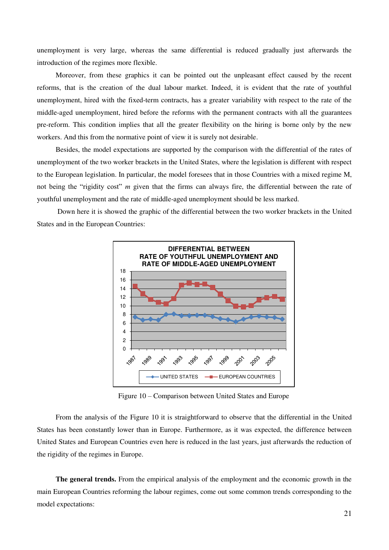unemployment is very large, whereas the same differential is reduced gradually just afterwards the introduction of the regimes more flexible.

Moreover, from these graphics it can be pointed out the unpleasant effect caused by the recent reforms, that is the creation of the dual labour market. Indeed, it is evident that the rate of youthful unemployment, hired with the fixed-term contracts, has a greater variability with respect to the rate of the middle-aged unemployment, hired before the reforms with the permanent contracts with all the guarantees pre-reform. This condition implies that all the greater flexibility on the hiring is borne only by the new workers. And this from the normative point of view it is surely not desirable.

Besides, the model expectations are supported by the comparison with the differential of the rates of unemployment of the two worker brackets in the United States, where the legislation is different with respect to the European legislation. In particular, the model foresees that in those Countries with a mixed regime M, not being the "rigidity cost" *m* given that the firms can always fire, the differential between the rate of youthful unemployment and the rate of middle-aged unemployment should be less marked.

 Down here it is showed the graphic of the differential between the two worker brackets in the United States and in the European Countries:



Figure 10 – Comparison between United States and Europe

From the analysis of the Figure 10 it is straightforward to observe that the differential in the United States has been constantly lower than in Europe. Furthermore, as it was expected, the difference between United States and European Countries even here is reduced in the last years, just afterwards the reduction of the rigidity of the regimes in Europe.

**The general trends.** From the empirical analysis of the employment and the economic growth in the main European Countries reforming the labour regimes, come out some common trends corresponding to the model expectations: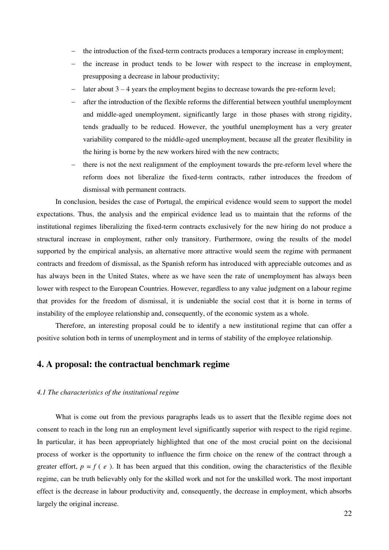- the introduction of the fixed-term contracts produces a temporary increase in employment;
- the increase in product tends to be lower with respect to the increase in employment, presupposing a decrease in labour productivity;
- later about 3 4 years the employment begins to decrease towards the pre-reform level;
- after the introduction of the flexible reforms the differential between youthful unemployment and middle-aged unemployment, significantly large in those phases with strong rigidity, tends gradually to be reduced. However, the youthful unemployment has a very greater variability compared to the middle-aged unemployment, because all the greater flexibility in the hiring is borne by the new workers hired with the new contracts;
- there is not the next realignment of the employment towards the pre-reform level where the reform does not liberalize the fixed-term contracts, rather introduces the freedom of dismissal with permanent contracts.

In conclusion, besides the case of Portugal, the empirical evidence would seem to support the model expectations. Thus, the analysis and the empirical evidence lead us to maintain that the reforms of the institutional regimes liberalizing the fixed-term contracts exclusively for the new hiring do not produce a structural increase in employment, rather only transitory. Furthermore, owing the results of the model supported by the empirical analysis, an alternative more attractive would seem the regime with permanent contracts and freedom of dismissal, as the Spanish reform has introduced with appreciable outcomes and as has always been in the United States, where as we have seen the rate of unemployment has always been lower with respect to the European Countries. However, regardless to any value judgment on a labour regime that provides for the freedom of dismissal, it is undeniable the social cost that it is borne in terms of instability of the employee relationship and, consequently, of the economic system as a whole.

Therefore, an interesting proposal could be to identify a new institutional regime that can offer a positive solution both in terms of unemployment and in terms of stability of the employee relationship.

# **4. A proposal: the contractual benchmark regime**

## *4.1 The characteristics of the institutional regime*

What is come out from the previous paragraphs leads us to assert that the flexible regime does not consent to reach in the long run an employment level significantly superior with respect to the rigid regime. In particular, it has been appropriately highlighted that one of the most crucial point on the decisional process of worker is the opportunity to influence the firm choice on the renew of the contract through a greater effort,  $p = f(e)$ . It has been argued that this condition, owing the characteristics of the flexible regime, can be truth believably only for the skilled work and not for the unskilled work. The most important effect is the decrease in labour productivity and, consequently, the decrease in employment, which absorbs largely the original increase.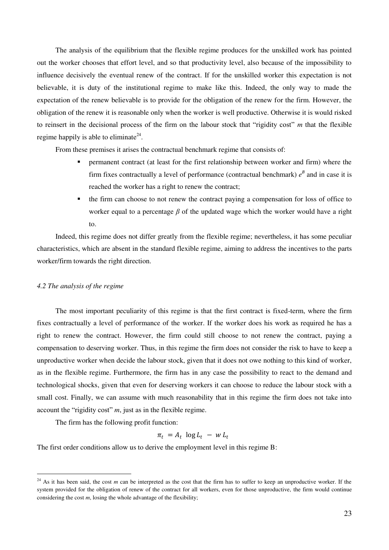The analysis of the equilibrium that the flexible regime produces for the unskilled work has pointed out the worker chooses that effort level, and so that productivity level, also because of the impossibility to influence decisively the eventual renew of the contract. If for the unskilled worker this expectation is not believable, it is duty of the institutional regime to make like this. Indeed, the only way to made the expectation of the renew believable is to provide for the obligation of the renew for the firm. However, the obligation of the renew it is reasonable only when the worker is well productive. Otherwise it is would risked to reinsert in the decisional process of the firm on the labour stock that "rigidity cost" *m* that the flexible regime happily is able to eliminate<sup>24</sup>.

From these premises it arises the contractual benchmark regime that consists of:

- permanent contract (at least for the first relationship between worker and firm) where the firm fixes contractually a level of performance (contractual benchmark)  $e^B$  and in case it is reached the worker has a right to renew the contract;
- the firm can choose to not renew the contract paying a compensation for loss of office to worker equal to a percentage *β* of the updated wage which the worker would have a right to.

Indeed, this regime does not differ greatly from the flexible regime; nevertheless, it has some peculiar characteristics, which are absent in the standard flexible regime, aiming to address the incentives to the parts worker/firm towards the right direction.

## *4.2 The analysis of the regime*

<u>.</u>

The most important peculiarity of this regime is that the first contract is fixed-term, where the firm fixes contractually a level of performance of the worker. If the worker does his work as required he has a right to renew the contract. However, the firm could still choose to not renew the contract, paying a compensation to deserving worker. Thus, in this regime the firm does not consider the risk to have to keep a unproductive worker when decide the labour stock, given that it does not owe nothing to this kind of worker, as in the flexible regime. Furthermore, the firm has in any case the possibility to react to the demand and technological shocks, given that even for deserving workers it can choose to reduce the labour stock with a small cost. Finally, we can assume with much reasonability that in this regime the firm does not take into account the "rigidity cost" *m*, just as in the flexible regime.

The firm has the following profit function:

 $\pi_t = A_t \log L_t - w L_t$ 

The first order conditions allow us to derive the employment level in this regime B:

<sup>&</sup>lt;sup>24</sup> As it has been said, the cost  $m$  can be interpreted as the cost that the firm has to suffer to keep an unproductive worker. If the system provided for the obligation of renew of the contract for all workers, even for those unproductive, the firm would continue considering the cost *m*, losing the whole advantage of the flexibility;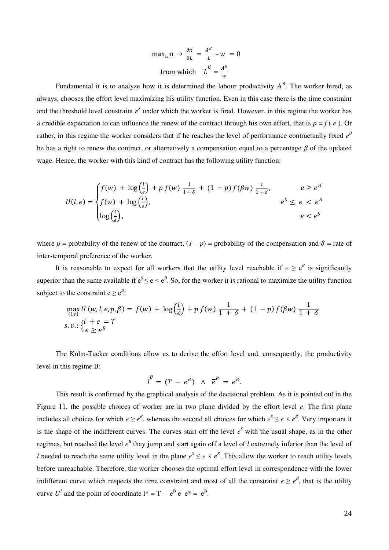$$
\max_{L} \pi \to \frac{\partial \pi}{\partial L} = \frac{A^B}{L} - w = 0
$$
  
from which 
$$
\overline{L}^B = \frac{A^B}{w}
$$

Fundamental it is to analyze how it is determined the labour productivity  $A^B$ . The worker hired, as always, chooses the effort level maximizing his utility function. Even in this case there is the time constraint and the threshold level constraint  $e^s$  under which the worker is fired. However, in this regime the worker has a credible expectation to can influence the renew of the contract through his own effort, that is  $p = f(e)$ . Or rather, in this regime the worker considers that if he reaches the level of performance contractually fixed  $e^{B}$ he has a right to renew the contract, or alternatively a compensation equal to a percentage *β* of the updated wage. Hence, the worker with this kind of contract has the following utility function:

$$
U(l,e) = \begin{cases} f(w) + \log\left(\frac{l}{e}\right) + p f(w) \frac{1}{1+\delta} + (1-p) f(\beta w) \frac{1}{1+\delta}, & e \ge e^B \\ f(w) + \log\left(\frac{l}{e}\right), & e^S \le e < e^B \\ \log\left(\frac{l}{e}\right), & e < e^S \end{cases}
$$

where  $p =$  probability of the renew of the contract,  $(1 - p) =$  probability of the compensation and  $\delta =$  rate of inter-temporal preference of the worker.

It is reasonable to expect for all workers that the utility level reachable if  $e \ge e^B$  is significantly superior than the same available if  $e^S \le e \le e^B$ . So, for the worker it is rational to maximize the utility function subject to the constraint  $e \ge e^B$ :

$$
\max_{(l,e)} U(w, l, e, p, \beta) = f(w) + \log \left(\frac{l}{e}\right) + p f(w) \frac{1}{1+\delta} + (1-p) f(\beta w) \frac{1}{1+\delta}
$$
  
s. v.: 
$$
\begin{cases} l + e = T \\ e \ge e^B \end{cases}
$$

The Kuhn-Tucker conditions allow us to derive the effort level and, consequently, the productivity level in this regime B:

$$
\overline{l}^B = (T - e^B) \wedge \overline{e}^B = e^B.
$$

This result is confirmed by the graphical analysis of the decisional problem. As it is pointed out in the Figure 11, the possible choices of worker are in two plane divided by the effort level *e*. The first plane includes all choices for which  $e \geq e^B$ , whereas the second all choices for which  $e^S \leq e \leq e^B$ . Very important it is the shape of the indifferent curves. The curves start off the level  $e^S$  with the usual shape, as in the other regimes, but reached the level  $e^B$  they jump and start again off a level of *l* extremely inferior than the level of *l* needed to reach the same utility level in the plane  $e^{S} \le e \le e^{B}$ . This allow the worker to reach utility levels before unreachable. Therefore, the worker chooses the optimal effort level in correspondence with the lower indifferent curve which respects the time constraint and most of all the constraint  $e \geq e^B$ , that is the utility curve  $U^{\dagger}$  and the point of coordinate  $l^* = T - e^{B} e e^{*} = e^{B}$ .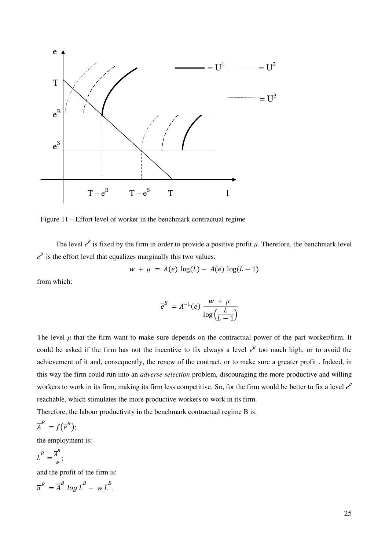

Figure 11 – Effort level of worker in the benchmark contractual regime

The level  $e^B$  is fixed by the firm in order to provide a positive profit  $\mu$ . Therefore, the benchmark level  $e^B$  is the effort level that equalizes marginally this two values:

$$
w + \mu = A(e) \log(L) - A(e) \log(L - 1)
$$

from which:

$$
\overline{e}^B = A^{-1}(e) \frac{w + \mu}{\log(\frac{L}{L-1})}
$$

The level  $\mu$  that the firm want to make sure depends on the contractual power of the part worker/firm. It could be asked if the firm has not the incentive to fix always a level  $e^{B}$  too much high, or to avoid the achievement of it and, consequently, the renew of the contract, or to make sure a greater profit . Indeed, in this way the firm could run into an *adverse selection* problem, discouraging the more productive and willing workers to work in its firm, making its firm less competitive. So, for the firm would be better to fix a level  $e^B$ reachable, which stimulates the more productive workers to work in its firm.

Therefore, the labour productivity in the benchmark contractual regime B is:

$$
\overline{A}^B = f(\overline{e}^B);
$$

the employment is:

$$
\overline{L}^B = \frac{\overline{A}^B}{w};
$$

and the profit of the firm is:

$$
\overline{\pi}^B = \overline{A}^B \log \overline{L}^B - w \overline{L}^B.
$$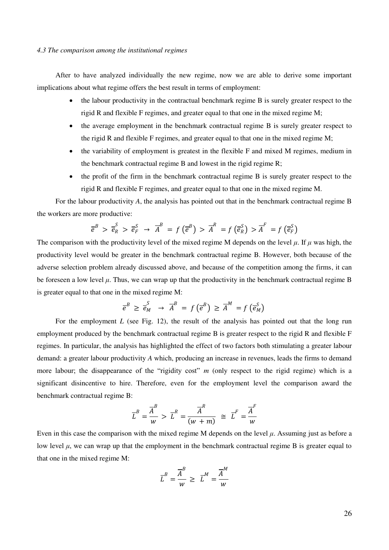## *4.3 The comparison among the institutional regimes*

After to have analyzed individually the new regime, now we are able to derive some important implications about what regime offers the best result in terms of employment:

- the labour productivity in the contractual benchmark regime B is surely greater respect to the rigid R and flexible F regimes, and greater equal to that one in the mixed regime M;
- the average employment in the benchmark contractual regime B is surely greater respect to the rigid R and flexible F regimes, and greater equal to that one in the mixed regime M;
- the variability of employment is greatest in the flexible F and mixed M regimes, medium in the benchmark contractual regime B and lowest in the rigid regime R;
- the profit of the firm in the benchmark contractual regime B is surely greater respect to the rigid R and flexible F regimes, and greater equal to that one in the mixed regime M.

For the labour productivity *A*, the analysis has pointed out that in the benchmark contractual regime B the workers are more productive:

$$
\overline{e}^B > \overline{e}_R^S > \overline{e}_F^S \rightarrow \overline{A}^B = f(\overline{e}^B) > \overline{A}^R = f(\overline{e}_R^S) > \overline{A}^F = f(\overline{e}_F^S)
$$

The comparison with the productivity level of the mixed regime M depends on the level  $\mu$ . If  $\mu$  was high, the productivity level would be greater in the benchmark contractual regime B. However, both because of the adverse selection problem already discussed above, and because of the competition among the firms, it can be foreseen a low level  $\mu$ . Thus, we can wrap up that the productivity in the benchmark contractual regime B is greater equal to that one in the mixed regime M:

$$
\overline{e}^{B} \geq \overline{e}_{M}^{S} \rightarrow \overline{A}^{B} = f(\overline{e}^{B}) \geq \overline{A}^{M} = f(\overline{e}_{M}^{S})
$$

For the employment *L* (see Fig. 12), the result of the analysis has pointed out that the long run employment produced by the benchmark contractual regime B is greater respect to the rigid R and flexible F regimes. In particular, the analysis has highlighted the effect of two factors both stimulating a greater labour demand: a greater labour productivity *A* which, producing an increase in revenues, leads the firms to demand more labour; the disappearance of the "rigidity cost" *m* (only respect to the rigid regime) which is a significant disincentive to hire. Therefore, even for the employment level the comparison award the benchmark contractual regime B:

$$
\overline{L}^B = \frac{\overline{A}^B}{w} > \overline{L}^R = \frac{\overline{A}^R}{(w+m)} \cong \overline{L}^F = \frac{\overline{A}^F}{w}
$$

Even in this case the comparison with the mixed regime M depends on the level *μ*. Assuming just as before a low level  $\mu$ , we can wrap up that the employment in the benchmark contractual regime B is greater equal to that one in the mixed regime M:

$$
\overline{L}^B = \frac{\overline{A}^B}{w} \geq \overline{L}^M = \frac{\overline{A}^M}{w}
$$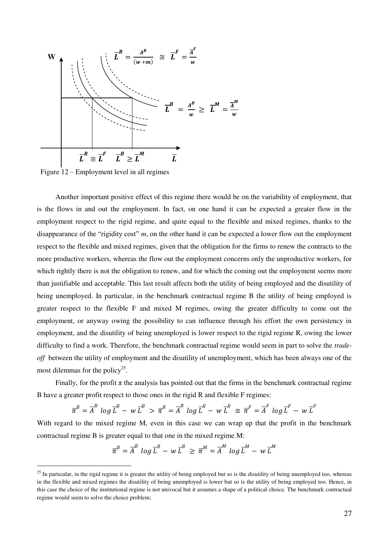

Figure 12 – Employment level in all regimes

<u>.</u>

Another important positive effect of this regime there would be on the variability of employment, that is the flows in and out the employment. In fact, on one hand it can be expected a greater flow in the employment respect to the rigid regime, and quite equal to the flexible and mixed regimes, thanks to the disappearance of the "rigidity cost" *m*, on the other hand it can be expected a lower flow out the employment respect to the flexible and mixed regimes, given that the obligation for the firms to renew the contracts to the more productive workers, whereas the flow out the employment concerns only the unproductive workers, for which rightly there is not the obligation to renew, and for which the coming out the employment seems more than justifiable and acceptable. This last result affects both the utility of being employed and the disutility of being unemployed. In particular, in the benchmark contractual regime B the utility of being employed is greater respect to the flexible F and mixed M regimes, owing the greater difficulty to come out the employment, or anyway owing the possibility to can influence through his effort the own persistency in employment, and the disutility of being unemployed is lower respect to the rigid regime R, owing the lower difficulty to find a work. Therefore, the benchmark contractual regime would seem in part to solve the *tradeoff* between the utility of employment and the disutility of unemployment, which has been always one of the most dilemmas for the policy<sup>25</sup>.

Finally, for the profit  $\pi$  the analysis has pointed out that the firms in the benchmark contractual regime B have a greater profit respect to those ones in the rigid R and flexible F regimes:

$$
\overline{\pi}^B = \overline{A}^B \log \overline{L}^B - w \overline{L}^B > \overline{\pi}^R = \overline{A}^R \log \overline{L}^R - w \overline{L}^R \cong \overline{\pi}^F = \overline{A}^F \log \overline{L}^F - w \overline{L}^F
$$

With regard to the mixed regime M, even in this case we can wrap up that the profit in the benchmark contractual regime B is greater equal to that one in the mixed regime M:

$$
\overline{\pi}^B = \overline{A}^B \log \overline{L}^B - w \,\overline{L}^B \geq \overline{\pi}^M = \overline{A}^M \log \overline{L}^M - w \,\overline{L}^M
$$

 $25$  In particular, in the rigid regime it is greater the utility of being employed but so is the disutility of being unemployed too, whereas in the flexible and mixed regimes the disutility of being unemployed is lower but so is the utility of being employed too. Hence, in this case the choice of the institutional regime is not univocal but it assumes a shape of a political choice. The benchmark contractual regime would seem to solve the choice problem;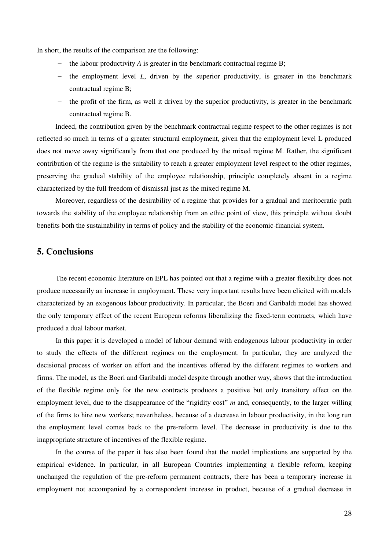In short, the results of the comparison are the following:

- $\blacksquare$  the labour productivity *A* is greater in the benchmark contractual regime B;
- $\hbar$  the employment level *L*, driven by the superior productivity, is greater in the benchmark contractual regime B;
- $-$  the profit of the firm, as well it driven by the superior productivity, is greater in the benchmark contractual regime B.

Indeed, the contribution given by the benchmark contractual regime respect to the other regimes is not reflected so much in terms of a greater structural employment, given that the employment level L produced does not move away significantly from that one produced by the mixed regime M. Rather, the significant contribution of the regime is the suitability to reach a greater employment level respect to the other regimes, preserving the gradual stability of the employee relationship, principle completely absent in a regime characterized by the full freedom of dismissal just as the mixed regime M.

Moreover, regardless of the desirability of a regime that provides for a gradual and meritocratic path towards the stability of the employee relationship from an ethic point of view, this principle without doubt benefits both the sustainability in terms of policy and the stability of the economic-financial system.

## **5. Conclusions**

The recent economic literature on EPL has pointed out that a regime with a greater flexibility does not produce necessarily an increase in employment. These very important results have been elicited with models characterized by an exogenous labour productivity. In particular, the Boeri and Garibaldi model has showed the only temporary effect of the recent European reforms liberalizing the fixed-term contracts, which have produced a dual labour market.

In this paper it is developed a model of labour demand with endogenous labour productivity in order to study the effects of the different regimes on the employment. In particular, they are analyzed the decisional process of worker on effort and the incentives offered by the different regimes to workers and firms. The model, as the Boeri and Garibaldi model despite through another way, shows that the introduction of the flexible regime only for the new contracts produces a positive but only transitory effect on the employment level, due to the disappearance of the "rigidity cost" *m* and, consequently, to the larger willing of the firms to hire new workers; nevertheless, because of a decrease in labour productivity, in the long run the employment level comes back to the pre-reform level. The decrease in productivity is due to the inappropriate structure of incentives of the flexible regime.

In the course of the paper it has also been found that the model implications are supported by the empirical evidence. In particular, in all European Countries implementing a flexible reform, keeping unchanged the regulation of the pre-reform permanent contracts, there has been a temporary increase in employment not accompanied by a correspondent increase in product, because of a gradual decrease in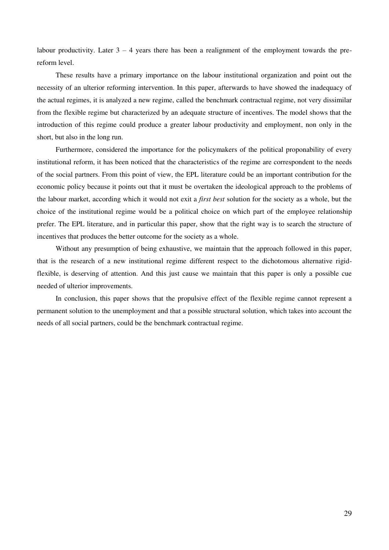labour productivity. Later  $3 - 4$  years there has been a realignment of the employment towards the prereform level.

These results have a primary importance on the labour institutional organization and point out the necessity of an ulterior reforming intervention. In this paper, afterwards to have showed the inadequacy of the actual regimes, it is analyzed a new regime, called the benchmark contractual regime, not very dissimilar from the flexible regime but characterized by an adequate structure of incentives. The model shows that the introduction of this regime could produce a greater labour productivity and employment, non only in the short, but also in the long run.

Furthermore, considered the importance for the policymakers of the political proponability of every institutional reform, it has been noticed that the characteristics of the regime are correspondent to the needs of the social partners. From this point of view, the EPL literature could be an important contribution for the economic policy because it points out that it must be overtaken the ideological approach to the problems of the labour market, according which it would not exit a *first best* solution for the society as a whole, but the choice of the institutional regime would be a political choice on which part of the employee relationship prefer. The EPL literature, and in particular this paper, show that the right way is to search the structure of incentives that produces the better outcome for the society as a whole.

Without any presumption of being exhaustive, we maintain that the approach followed in this paper, that is the research of a new institutional regime different respect to the dichotomous alternative rigidflexible, is deserving of attention. And this just cause we maintain that this paper is only a possible cue needed of ulterior improvements.

In conclusion, this paper shows that the propulsive effect of the flexible regime cannot represent a permanent solution to the unemployment and that a possible structural solution, which takes into account the needs of all social partners, could be the benchmark contractual regime.